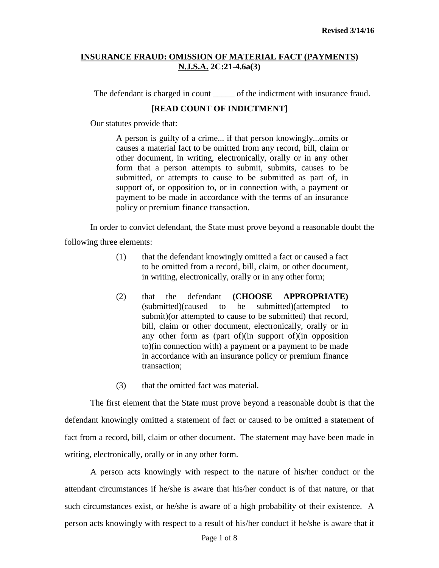The defendant is charged in count \_\_\_\_\_\_ of the indictment with insurance fraud.

### **[READ COUNT OF INDICTMENT]**

Our statutes provide that:

A person is guilty of a crime... if that person knowingly...omits or causes a material fact to be omitted from any record, bill, claim or other document, in writing, electronically, orally or in any other form that a person attempts to submit, submits, causes to be submitted, or attempts to cause to be submitted as part of, in support of, or opposition to, or in connection with, a payment or payment to be made in accordance with the terms of an insurance policy or premium finance transaction.

In order to convict defendant, the State must prove beyond a reasonable doubt the following three elements:

- (1) that the defendant knowingly omitted a fact or caused a fact to be omitted from a record, bill, claim, or other document, in writing, electronically, orally or in any other form;
- (2) that the defendant **(CHOOSE APPROPRIATE)** (submitted)(caused to be submitted)(attempted to submit)(or attempted to cause to be submitted) that record, bill, claim or other document, electronically, orally or in any other form as (part of)(in support of)(in opposition to)(in connection with) a payment or a payment to be made in accordance with an insurance policy or premium finance transaction;
- (3) that the omitted fact was material.

The first element that the State must prove beyond a reasonable doubt is that the defendant knowingly omitted a statement of fact or caused to be omitted a statement of fact from a record, bill, claim or other document. The statement may have been made in writing, electronically, orally or in any other form.

A person acts knowingly with respect to the nature of his/her conduct or the attendant circumstances if he/she is aware that his/her conduct is of that nature, or that such circumstances exist, or he/she is aware of a high probability of their existence. A person acts knowingly with respect to a result of his/her conduct if he/she is aware that it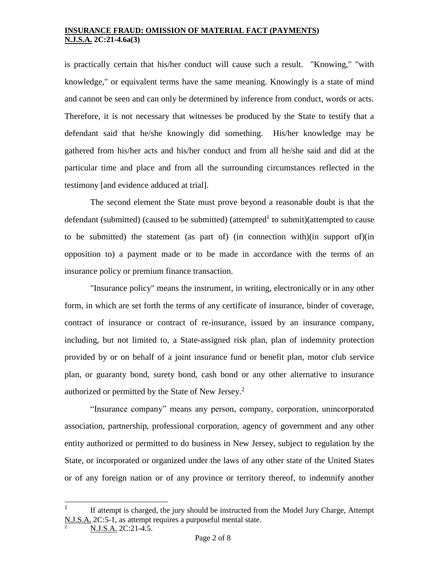is practically certain that his/her conduct will cause such a result. "Knowing," "with knowledge," or equivalent terms have the same meaning. Knowingly is a state of mind and cannot be seen and can only be determined by inference from conduct, words or acts. Therefore, it is not necessary that witnesses be produced by the State to testify that a defendant said that he/she knowingly did something. His/her knowledge may be gathered from his/her acts and his/her conduct and from all he/she said and did at the particular time and place and from all the surrounding circumstances reflected in the testimony [and evidence adduced at trial].

The second element the State must prove beyond a reasonable doubt is that the defendant (submitted) (caused to be submitted) (attempted<sup>1</sup> to submit)(attempted to cause to be submitted) the statement (as part of) (in connection with)(in support of)(in opposition to) a payment made or to be made in accordance with the terms of an insurance policy or premium finance transaction.

"Insurance policy" means the instrument, in writing, electronically or in any other form, in which are set forth the terms of any certificate of insurance, binder of coverage, contract of insurance or contract of re-insurance, issued by an insurance company, including, but not limited to, a State-assigned risk plan, plan of indemnity protection provided by or on behalf of a joint insurance fund or benefit plan, motor club service plan, or guaranty bond, surety bond, cash bond or any other alternative to insurance authorized or permitted by the State of New Jersey.<sup>2</sup>

"Insurance company" means any person, company, corporation, unincorporated association, partnership, professional corporation, agency of government and any other entity authorized or permitted to do business in New Jersey, subject to regulation by the State, or incorporated or organized under the laws of any other state of the United States or of any foreign nation or of any province or territory thereof, to indemnify another

l

<sup>1</sup> If attempt is charged, the jury should be instructed from the Model Jury Charge, Attempt N.J.S.A. 2C:5-1, as attempt requires a purposeful mental state.

N.J.S.A. 2C:21-4.5.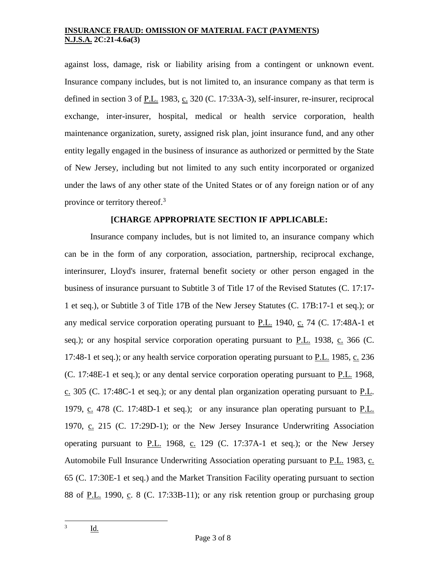against loss, damage, risk or liability arising from a contingent or unknown event. Insurance company includes, but is not limited to, an insurance company as that term is defined in section 3 of P.L. 1983, c. 320 (C. 17:33A-3), self-insurer, re-insurer, reciprocal exchange, inter-insurer, hospital, medical or health service corporation, health maintenance organization, surety, assigned risk plan, joint insurance fund, and any other entity legally engaged in the business of insurance as authorized or permitted by the State of New Jersey, including but not limited to any such entity incorporated or organized under the laws of any other state of the United States or of any foreign nation or of any province or territory thereof.<sup>3</sup>

# **[CHARGE APPROPRIATE SECTION IF APPLICABLE:**

Insurance company includes, but is not limited to, an insurance company which can be in the form of any corporation, association, partnership, reciprocal exchange, interinsurer, Lloyd's insurer, fraternal benefit society or other person engaged in the business of insurance pursuant to Subtitle 3 of Title 17 of the Revised Statutes (C. 17:17- 1 et seq.), or Subtitle 3 of Title 17B of the New Jersey Statutes (C. 17B:17-1 et seq.); or any medical service corporation operating pursuant to  $P.L.$  1940,  $C.$  74 (C. 17:48A-1 et [seq.\)](http://web2.westlaw.com/find/default.wl?rp=%2ffind%2fdefault.wl&vc=0&DB=1000045&DocName=NJST17%3A48A%2D1&FindType=L&AP=&fn=_top&rs=WLW8.02&mt=Westlaw&vr=2.0&sv=Split); or any hospital service corporation operating pursuant to  $P.L.$  1938, c. 366 [\(C.](http://web2.westlaw.com/find/default.wl?rp=%2ffind%2fdefault.wl&vc=0&DB=1000045&DocName=NJST17%3A48%2D1&FindType=L&AP=&fn=_top&rs=WLW8.02&mt=Westlaw&vr=2.0&sv=Split) [17:48-1 et seq.\)](http://web2.westlaw.com/find/default.wl?rp=%2ffind%2fdefault.wl&vc=0&DB=1000045&DocName=NJST17%3A48%2D1&FindType=L&AP=&fn=_top&rs=WLW8.02&mt=Westlaw&vr=2.0&sv=Split); or any health service corporation operating pursuant to P.L. 1985, c. 236 (C. [17:48E-1 et seq.\)](http://web2.westlaw.com/find/default.wl?rp=%2ffind%2fdefault.wl&vc=0&DB=1000045&DocName=NJST17%3A48E%2D1&FindType=L&AP=&fn=_top&rs=WLW8.02&mt=Westlaw&vr=2.0&sv=Split); or any dental service corporation operating pursuant to P.L. 1968, c. 305 (C. [17:48C-1 et seq.\)](http://web2.westlaw.com/find/default.wl?rp=%2ffind%2fdefault.wl&vc=0&DB=1000045&DocName=NJST17%3A48C%2D1&FindType=L&AP=&fn=_top&rs=WLW8.02&mt=Westlaw&vr=2.0&sv=Split); or any dental plan organization operating pursuant to P.L. 1979,  $c. 478$  (C. [17:48D-1 et seq.\)](http://web2.westlaw.com/find/default.wl?rp=%2ffind%2fdefault.wl&vc=0&DB=1000045&DocName=NJST17%3A48D%2D1&FindType=L&AP=&fn=_top&rs=WLW8.02&mt=Westlaw&vr=2.0&sv=Split); or any insurance plan operating pursuant to P.L. 1970, c. 215 (C. [17:29D-1\)](http://web2.westlaw.com/find/default.wl?rp=%2ffind%2fdefault.wl&vc=0&DB=1000045&DocName=NJST17%3A29D%2D1&FindType=L&AP=&fn=_top&rs=WLW8.02&mt=Westlaw&vr=2.0&sv=Split); or the New Jersey Insurance Underwriting Association operating pursuant to  $P.L.$  1968, c. 129 (C. [17:37A-1 et seq.\)](http://web2.westlaw.com/find/default.wl?rp=%2ffind%2fdefault.wl&vc=0&DB=1000045&DocName=NJST17%3A37A%2D1&FindType=L&AP=&fn=_top&rs=WLW8.02&mt=Westlaw&vr=2.0&sv=Split); or the New Jersey Automobile Full Insurance Underwriting Association operating pursuant to P.L. 1983, c. 65 (C. [17:30E-1 et seq.\)](http://web2.westlaw.com/find/default.wl?rp=%2ffind%2fdefault.wl&vc=0&DB=1000045&DocName=NJST17%3A30E%2D1&FindType=L&AP=&fn=_top&rs=WLW8.02&mt=Westlaw&vr=2.0&sv=Split) and the Market Transition Facility operating pursuant to section 88 of  $\underline{P.L.}$  1990,  $\underline{c}$ . 8 (C. [17:33B-11\)](http://web2.westlaw.com/find/default.wl?rp=%2ffind%2fdefault.wl&vc=0&DB=1000045&DocName=NJST17%3A33B%2D11&FindType=L&AP=&fn=_top&rs=WLW8.02&mt=Westlaw&vr=2.0&sv=Split); or any risk retention group or purchasing group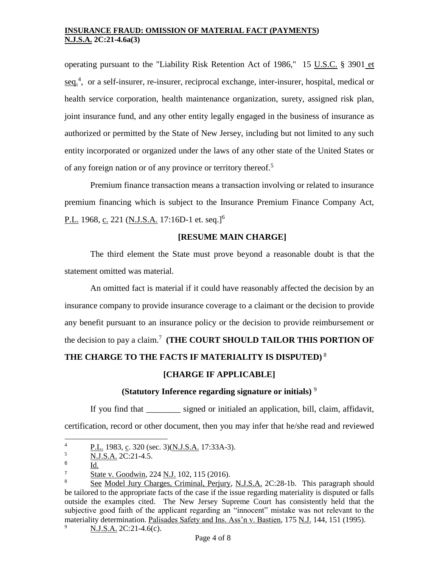operating pursuant to the "Liability Risk Retention Act of 1986," [15 U.S.C.](http://web2.westlaw.com/find/default.wl?rp=%2ffind%2fdefault.wl&vc=0&DB=1000546&DocName=15USCAS3901&FindType=L&AP=&fn=_top&rs=WLW8.02&mt=Westlaw&vr=2.0&sv=Split) § 3901 et [seq.](http://web2.westlaw.com/find/default.wl?rp=%2ffind%2fdefault.wl&vc=0&DB=1000546&DocName=15USCAS3901&FindType=L&AP=&fn=_top&rs=WLW8.02&mt=Westlaw&vr=2.0&sv=Split)<sup>4</sup>, or a self-insurer, re-insurer, reciprocal exchange, inter-insurer, hospital, medical or health service corporation, health maintenance organization, surety, assigned risk plan, joint insurance fund, and any other entity legally engaged in the business of insurance as authorized or permitted by the State of New Jersey, including but not limited to any such entity incorporated or organized under the laws of any other state of the United States or of any foreign nation or of any province or territory thereof.<sup>5</sup>

Premium finance transaction means a transaction involving or related to insurance premium financing which is subject to the Insurance Premium Finance Company Act, P.L. 1968, <u>c.</u> 221 (<u>N.J.S.A.</u> 17:16D-1 et. seq.]<sup>6</sup>

# **[RESUME MAIN CHARGE]**

The third element the State must prove beyond a reasonable doubt is that the statement omitted was material.

An omitted fact is material if it could have reasonably affected the decision by an insurance company to provide insurance coverage to a claimant or the decision to provide any benefit pursuant to an insurance policy or the decision to provide reimbursement or the decision to pay a claim.<sup>7</sup> **(THE COURT SHOULD TAILOR THIS PORTION OF THE CHARGE TO THE FACTS IF MATERIALITY IS DISPUTED)** <sup>8</sup>

# **[CHARGE IF APPLICABLE]**

# **(Statutory Inference regarding signature or initials)** <sup>9</sup>

If you find that \_\_\_\_\_\_\_\_ signed or initialed an application, bill, claim, affidavit, certification, record or other document, then you may infer that he/she read and reviewed

 $\overline{4}$  $\frac{1}{5}$  P.L. 1983, c. 320 (sec. 3)(N.J.S.A. 17:33A-3).

<sup>5</sup> N.J.S.A. 2C:21-4.5.

<sup>6</sup> Id.

 $\frac{7}{8}$  State v. Goodwin, 224 N.J. 102, 115 (2016).

See Model Jury Charges, Criminal, Perjury, N.J.S.A. 2C:28-1b. This paragraph should be tailored to the appropriate facts of the case if the issue regarding materiality is disputed or falls outside the examples cited. The New Jersey Supreme Court has consistently held that the subjective good faith of the applicant regarding an "innocent" mistake was not relevant to the materiality determination. Palisades Safety and Ins. Ass'n v. Bastien, 175 N.J. 144, 151 (1995).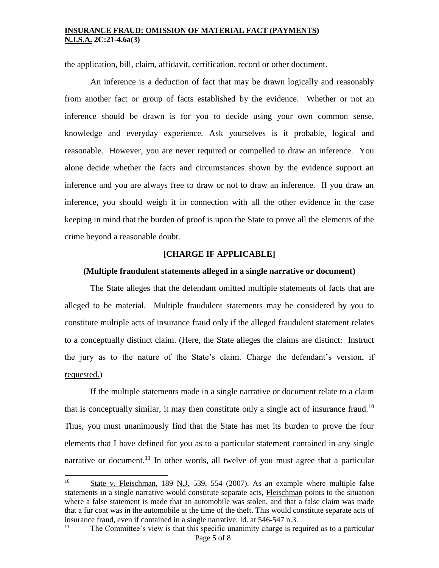the application, bill, claim, affidavit, certification, record or other document.

An inference is a deduction of fact that may be drawn logically and reasonably from another fact or group of facts established by the evidence. Whether or not an inference should be drawn is for you to decide using your own common sense, knowledge and everyday experience. Ask yourselves is it probable, logical and reasonable. However, you are never required or compelled to draw an inference. You alone decide whether the facts and circumstances shown by the evidence support an inference and you are always free to draw or not to draw an inference. If you draw an inference, you should weigh it in connection with all the other evidence in the case keeping in mind that the burden of proof is upon the State to prove all the elements of the crime beyond a reasonable doubt.

#### **[CHARGE IF APPLICABLE]**

#### **(Multiple fraudulent statements alleged in a single narrative or document)**

The State alleges that the defendant omitted multiple statements of facts that are alleged to be material. Multiple fraudulent statements may be considered by you to constitute multiple acts of insurance fraud only if the alleged fraudulent statement relates to a conceptually distinct claim. (Here, the State alleges the claims are distinct: Instruct the jury as to the nature of the State's claim. Charge the defendant's version, if requested.)

If the multiple statements made in a single narrative or document relate to a claim that is conceptually similar, it may then constitute only a single act of insurance fraud.<sup>10</sup> Thus, you must unanimously find that the State has met its burden to prove the four elements that I have defined for you as to a particular statement contained in any single narrative or document.<sup>11</sup> In other words, all twelve of you must agree that a particular

 $10<sup>°</sup>$ State v. Fleischman, 189 N.J. 539, 554 (2007). As an example where multiple false statements in a single narrative would constitute separate acts, Fleischman points to the situation where a false statement is made that an automobile was stolen, and that a false claim was made that a fur coat was in the automobile at the time of the theft. This would constitute separate acts of insurance fraud, even if contained in a single narrative.  $\underline{Id}$  at 546-547 n.3.<br>

Page 5 of 8 The Committee's view is that this specific unanimity charge is required as to a particular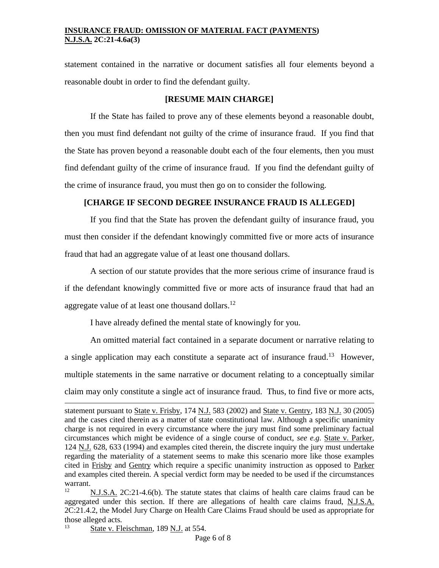statement contained in the narrative or document satisfies all four elements beyond a reasonable doubt in order to find the defendant guilty.

# **[RESUME MAIN CHARGE]**

If the State has failed to prove any of these elements beyond a reasonable doubt, then you must find defendant not guilty of the crime of insurance fraud. If you find that the State has proven beyond a reasonable doubt each of the four elements, then you must find defendant guilty of the crime of insurance fraud. If you find the defendant guilty of the crime of insurance fraud, you must then go on to consider the following.

# **[CHARGE IF SECOND DEGREE INSURANCE FRAUD IS ALLEGED]**

If you find that the State has proven the defendant guilty of insurance fraud, you must then consider if the defendant knowingly committed five or more acts of insurance fraud that had an aggregate value of at least one thousand dollars.

A section of our statute provides that the more serious crime of insurance fraud is if the defendant knowingly committed five or more acts of insurance fraud that had an aggregate value of at least one thousand dollars.<sup>12</sup>

I have already defined the mental state of knowingly for you.

An omitted material fact contained in a separate document or narrative relating to a single application may each constitute a separate act of insurance fraud.<sup>13</sup> However, multiple statements in the same narrative or document relating to a conceptually similar claim may only constitute a single act of insurance fraud. Thus, to find five or more acts,

l

statement pursuant to State v. Frisby, 174 N.J. 583 (2002) and State v. Gentry, 183 N.J. 30 (2005) and the cases cited therein as a matter of state constitutional law. Although a specific unanimity charge is not required in every circumstance where the jury must find some preliminary factual circumstances which might be evidence of a single course of conduct, *see e.g*. State v. Parker, 124 N.J. 628, 633 (1994) and examples cited therein, the discrete inquiry the jury must undertake regarding the materiality of a statement seems to make this scenario more like those examples cited in Frisby and Gentry which require a specific unanimity instruction as opposed to Parker and examples cited therein. A special verdict form may be needed to be used if the circumstances warrant.

<sup>12</sup> N.J.S.A. 2C:21-4.6(b). The statute states that claims of health care claims fraud can be aggregated under this section. If there are allegations of health care claims fraud, N.J.S.A. 2C:21.4.2, the Model Jury Charge on Health Care Claims Fraud should be used as appropriate for those alleged acts.

State v. Fleischman, 189 N.J. at 554.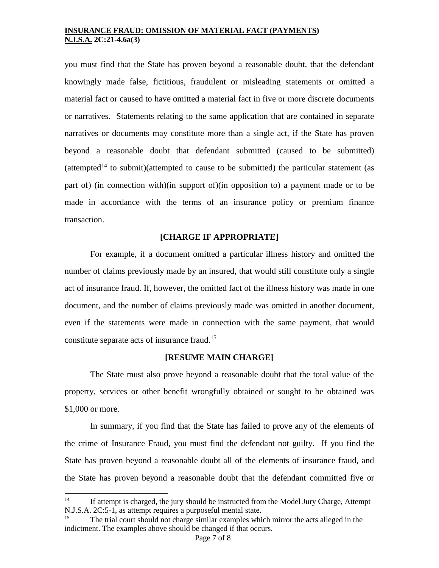you must find that the State has proven beyond a reasonable doubt, that the defendant knowingly made false, fictitious, fraudulent or misleading statements or omitted a material fact or caused to have omitted a material fact in five or more discrete documents or narratives. Statements relating to the same application that are contained in separate narratives or documents may constitute more than a single act, if the State has proven beyond a reasonable doubt that defendant submitted (caused to be submitted) (attempted<sup>14</sup> to submit)(attempted to cause to be submitted) the particular statement (as part of) (in connection with)(in support of)(in opposition to) a payment made or to be made in accordance with the terms of an insurance policy or premium finance transaction.

### **[CHARGE IF APPROPRIATE]**

For example, if a document omitted a particular illness history and omitted the number of claims previously made by an insured, that would still constitute only a single act of insurance fraud. If, however, the omitted fact of the illness history was made in one document, and the number of claims previously made was omitted in another document, even if the statements were made in connection with the same payment, that would constitute separate acts of insurance fraud.<sup>15</sup>

#### **[RESUME MAIN CHARGE]**

The State must also prove beyond a reasonable doubt that the total value of the property, services or other benefit wrongfully obtained or sought to be obtained was \$1,000 or more.

In summary, if you find that the State has failed to prove any of the elements of the crime of Insurance Fraud, you must find the defendant not guilty. If you find the State has proven beyond a reasonable doubt all of the elements of insurance fraud, and the State has proven beyond a reasonable doubt that the defendant committed five or

l

<sup>&</sup>lt;sup>14</sup> If attempt is charged, the jury should be instructed from the Model Jury Charge, Attempt N.J.S.A. 2C:5-1, as attempt requires a purposeful mental state.

The trial court should not charge similar examples which mirror the acts alleged in the indictment. The examples above should be changed if that occurs.